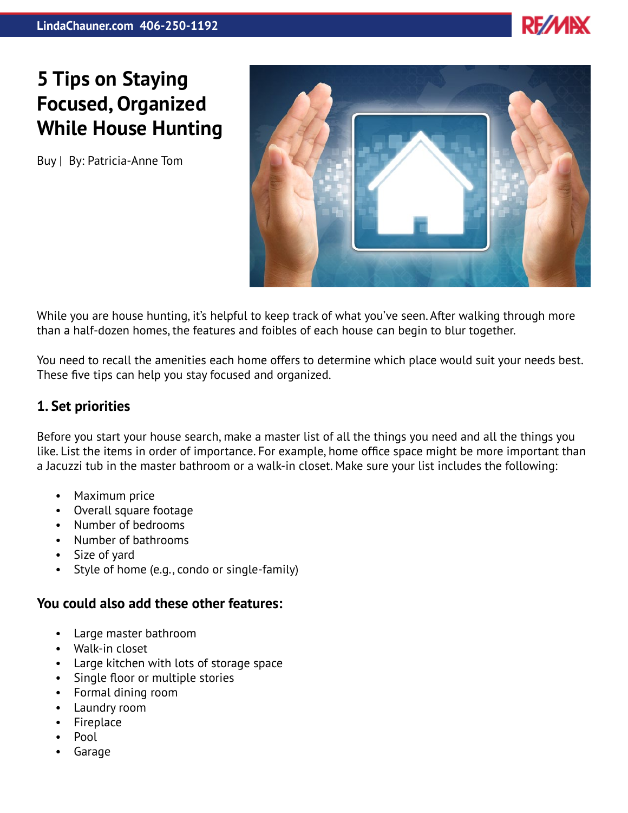

# **5 Tips on Staying Focused, Organized While House Hunting**

Buy | By: Patricia-Anne Tom



While you are house hunting, it's helpful to keep track of what you've seen. After walking through more than a half-dozen homes, the features and foibles of each house can begin to blur together.

You need to recall the amenities each home offers to determine which place would suit your needs best. These five tips can help you stay focused and organized.

### **1. Set priorities**

Before you start your house search, make a master list of all the things you need and all the things you like. List the items in order of importance. For example, home office space might be more important than a Jacuzzi tub in the master bathroom or a walk-in closet. Make sure your list includes the following:

- Maximum price
- Overall square footage
- Number of bedrooms
- Number of bathrooms
- Size of yard
- Style of home (e.g., condo or single-family)

#### **You could also add these other features:**

- Large master bathroom
- Walk-in closet
- Large kitchen with lots of storage space
- Single floor or multiple stories
- Formal dining room
- Laundry room
- Fireplace
- Pool
- Garage